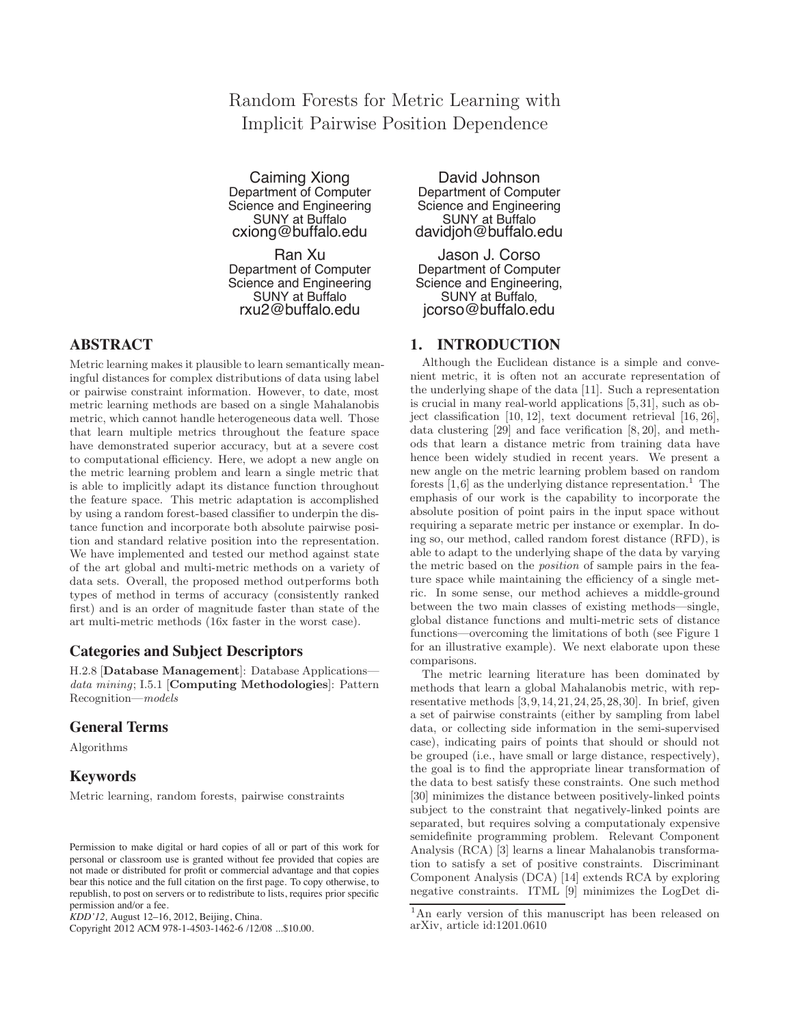# Random Forests for Metric Learning with Implicit Pairwise Position Dependence

Caiming Xiong Department of Computer Science and Engineering SUNY at Buffalo cxiong@buffalo.edu

Ran Xu Department of Computer Science and Engineering SUNY at Buffalo rxu2@buffalo.edu

# **ABSTRACT**

Metric learning makes it plausible to learn semantically meaningful distances for complex distributions of data using label or pairwise constraint information. However, to date, most metric learning methods are based on a single Mahalanobis metric, which cannot handle heterogeneous data well. Those that learn multiple metrics throughout the feature space have demonstrated superior accuracy, but at a severe cost to computational efficiency. Here, we adopt a new angle on the metric learning problem and learn a single metric that is able to implicitly adapt its distance function throughout the feature space. This metric adaptation is accomplished by using a random forest-based classifier to underpin the distance function and incorporate both absolute pairwise position and standard relative position into the representation. We have implemented and tested our method against state of the art global and multi-metric methods on a variety of data sets. Overall, the proposed method outperforms both types of method in terms of accuracy (consistently ranked first) and is an order of magnitude faster than state of the art multi-metric methods (16x faster in the worst case).

# **Categories and Subject Descriptors**

H.2.8 [**Database Management**]: Database Applications *data mining*; I.5.1 [**Computing Methodologies**]: Pattern Recognition—*models*

# **General Terms**

Algorithms

# **Keywords**

Metric learning, random forests, pairwise constraints

Copyright 2012 ACM 978-1-4503-1462-6 /12/08 ...\$10.00.

David Johnson Department of Computer Science and Engineering SUNY at Buffalo davidjoh@buffalo.edu

Jason J. Corso Department of Computer Science and Engineering, SUNY at Buffalo, jcorso@buffalo.edu

#### **1. INTRODUCTION**

Although the Euclidean distance is a simple and convenient metric, it is often not an accurate representation of the underlying shape of the data [11]. Such a representation is crucial in many real-world applications [5,31], such as object classification [10, 12], text document retrieval [16, 26], data clustering [29] and face verification [8, 20], and methods that learn a distance metric from training data have hence been widely studied in recent years. We present a new angle on the metric learning problem based on random forests  $[1,6]$  as the underlying distance representation.<sup>1</sup> The emphasis of our work is the capability to incorporate the absolute position of point pairs in the input space without requiring a separate metric per instance or exemplar. In doing so, our method, called random forest distance (RFD), is able to adapt to the underlying shape of the data by varying the metric based on the *position* of sample pairs in the feature space while maintaining the efficiency of a single metric. In some sense, our method achieves a middle-ground between the two main classes of existing methods—single, global distance functions and multi-metric sets of distance functions—overcoming the limitations of both (see Figure 1 for an illustrative example). We next elaborate upon these comparisons.

The metric learning literature has been dominated by methods that learn a global Mahalanobis metric, with representative methods [3,9,14,21,24,25,28,30]. In brief, given a set of pairwise constraints (either by sampling from label data, or collecting side information in the semi-supervised case), indicating pairs of points that should or should not be grouped (i.e., have small or large distance, respectively), the goal is to find the appropriate linear transformation of the data to best satisfy these constraints. One such method [30] minimizes the distance between positively-linked points subject to the constraint that negatively-linked points are separated, but requires solving a computationaly expensive semidefinite programming problem. Relevant Component Analysis (RCA) [3] learns a linear Mahalanobis transformation to satisfy a set of positive constraints. Discriminant Component Analysis (DCA) [14] extends RCA by exploring negative constraints. ITML [9] minimizes the LogDet di-

Permission to make digital or hard copies of all or part of this work for personal or classroom use is granted without fee provided that copies are not made or distributed for profit or commercial advantage and that copies bear this notice and the full citation on the first page. To copy otherwise, to republish, to post on servers or to redistribute to lists, requires prior specific permission and/or a fee.

*KDD'12,* August 12–16, 2012, Beijing, China.

<sup>1</sup>An early version of this manuscript has been released on arXiv, article id:1201.0610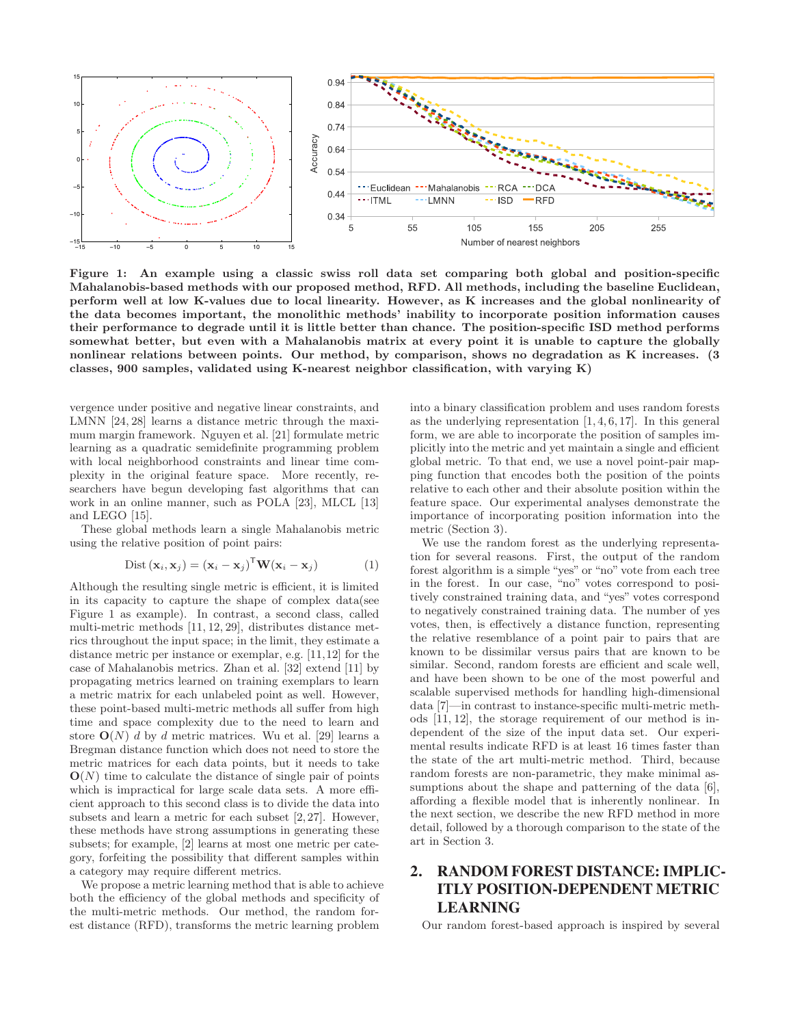

**Figure 1: An example using a classic swiss roll data set comparing both global and position-specific Mahalanobis-based methods with our proposed method, RFD. All methods, including the baseline Euclidean, perform well at low K-values due to local linearity. However, as K increases and the global nonlinearity of the data becomes important, the monolithic methods' inability to incorporate position information causes their performance to degrade until it is little better than chance. The position-specific ISD method performs somewhat better, but even with a Mahalanobis matrix at every point it is unable to capture the globally nonlinear relations between points. Our method, by comparison, shows no degradation as K increases. (3 classes, 900 samples, validated using K-nearest neighbor classification, with varying K)**

vergence under positive and negative linear constraints, and LMNN [24, 28] learns a distance metric through the maximum margin framework. Nguyen et al. [21] formulate metric learning as a quadratic semidefinite programming problem with local neighborhood constraints and linear time complexity in the original feature space. More recently, researchers have begun developing fast algorithms that can work in an online manner, such as POLA [23], MLCL [13] and LEGO [15].

These global methods learn a single Mahalanobis metric using the relative position of point pairs:

$$
Dist\left(\mathbf{x}_i, \mathbf{x}_j\right) = \left(\mathbf{x}_i - \mathbf{x}_j\right)^{\mathsf{T}} \mathbf{W}(\mathbf{x}_i - \mathbf{x}_j)
$$
(1)

Although the resulting single metric is efficient, it is limited in its capacity to capture the shape of complex data(see Figure 1 as example). In contrast, a second class, called multi-metric methods [11, 12, 29], distributes distance metrics throughout the input space; in the limit, they estimate a distance metric per instance or exemplar, e.g. [11,12] for the case of Mahalanobis metrics. Zhan et al. [32] extend [11] by propagating metrics learned on training exemplars to learn a metric matrix for each unlabeled point as well. However, these point-based multi-metric methods all suffer from high time and space complexity due to the need to learn and store  $O(N)$  d by d metric matrices. Wu et al. [29] learns a Bregman distance function which does not need to store the metric matrices for each data points, but it needs to take  $\mathbf{O}(N)$  time to calculate the distance of single pair of points which is impractical for large scale data sets. A more efficient approach to this second class is to divide the data into subsets and learn a metric for each subset [2, 27]. However, these methods have strong assumptions in generating these subsets; for example, [2] learns at most one metric per category, forfeiting the possibility that different samples within a category may require different metrics.

We propose a metric learning method that is able to achieve both the efficiency of the global methods and specificity of the multi-metric methods. Our method, the random forest distance (RFD), transforms the metric learning problem

into a binary classification problem and uses random forests as the underlying representation [1, 4, 6, 17]. In this general form, we are able to incorporate the position of samples implicitly into the metric and yet maintain a single and efficient global metric. To that end, we use a novel point-pair mapping function that encodes both the position of the points relative to each other and their absolute position within the feature space. Our experimental analyses demonstrate the importance of incorporating position information into the metric (Section 3).

We use the random forest as the underlying representation for several reasons. First, the output of the random forest algorithm is a simple "yes" or "no" vote from each tree in the forest. In our case, "no" votes correspond to positively constrained training data, and "yes" votes correspond to negatively constrained training data. The number of yes votes, then, is effectively a distance function, representing the relative resemblance of a point pair to pairs that are known to be dissimilar versus pairs that are known to be similar. Second, random forests are efficient and scale well, and have been shown to be one of the most powerful and scalable supervised methods for handling high-dimensional data [7]—in contrast to instance-specific multi-metric methods [11, 12], the storage requirement of our method is independent of the size of the input data set. Our experimental results indicate RFD is at least 16 times faster than the state of the art multi-metric method. Third, because random forests are non-parametric, they make minimal assumptions about the shape and patterning of the data [6]. affording a flexible model that is inherently nonlinear. In the next section, we describe the new RFD method in more detail, followed by a thorough comparison to the state of the art in Section 3.

# **2. RANDOM FOREST DISTANCE: IMPLIC-ITLY POSITION-DEPENDENT METRIC LEARNING**

Our random forest-based approach is inspired by several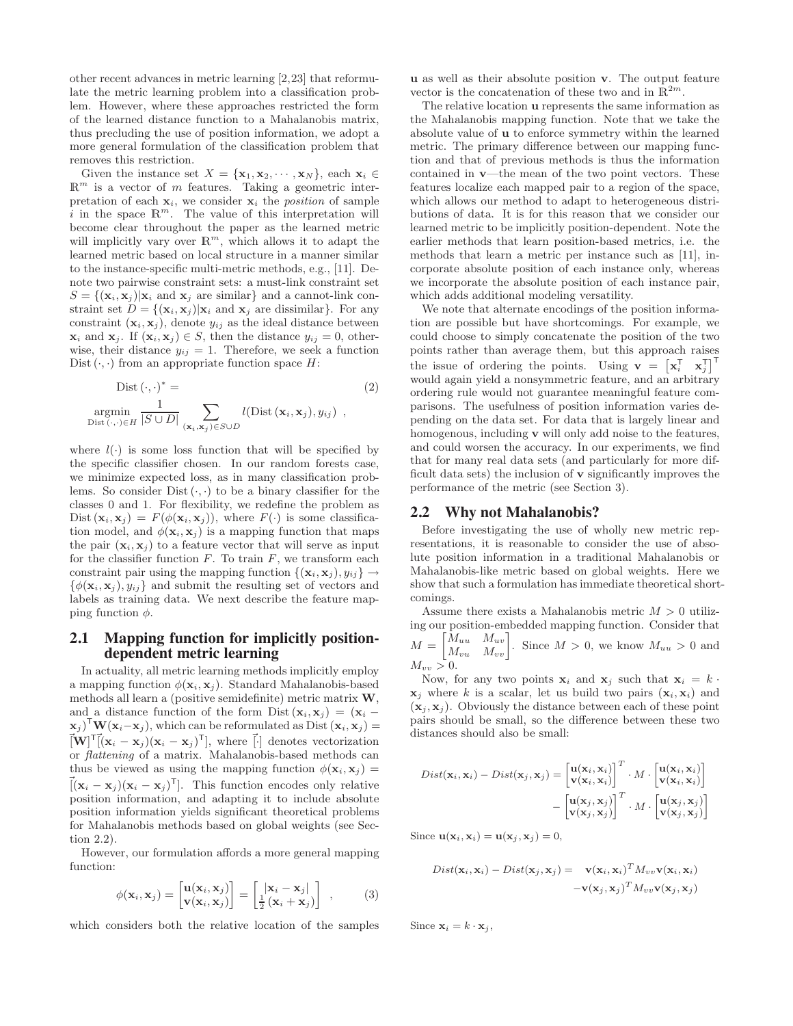other recent advances in metric learning [2,23] that reformulate the metric learning problem into a classification problem. However, where these approaches restricted the form of the learned distance function to a Mahalanobis matrix, thus precluding the use of position information, we adopt a more general formulation of the classification problem that removes this restriction.

Given the instance set  $X = {\mathbf{x}_1, \mathbf{x}_2, \cdots, \mathbf{x}_N}$ , each  $\mathbf{x}_i \in$  $\mathbb{R}^m$  is a vector of m features. Taking a geometric interpretation of each  $\mathbf{x}_i$ , we consider  $\mathbf{x}_i$  the *position* of sample i in the space  $\mathbb{R}^m$ . The value of this interpretation will become clear throughout the paper as the learned metric will implicitly vary over  $\mathbb{R}^m$ , which allows it to adapt the learned metric based on local structure in a manner similar to the instance-specific multi-metric methods, e.g., [11]. Denote two pairwise constraint sets: a must-link constraint set  $S = \{(\mathbf{x}_i, \mathbf{x}_j) | \mathbf{x}_i \text{ and } \mathbf{x}_j \text{ are similar} \}$  and a cannot-link constraint set  $D = \{(\mathbf{x}_i, \mathbf{x}_j) | \mathbf{x}_i \text{ and } \mathbf{x}_j \text{ are dissimilar}\}.$  For any constraint  $(\mathbf{x}_i, \mathbf{x}_j)$ , denote  $y_{ij}$  as the ideal distance between **x**<sub>*i*</sub> and **x**<sub>*j*</sub>. If  $(\mathbf{x}_i, \mathbf{x}_j) \in S$ , then the distance  $y_{ij} = 0$ , otherwise, their distance  $y_{ij} = 1$ . Therefore, we seek a function Dist  $( \cdot, \cdot)$  from an appropriate function space H:

$$
\text{Dist}(\cdot, \cdot)^* = \text{argmin}_{\text{Dist}(\cdot, \cdot) \in H} \frac{1}{|S \cup D|} \sum_{(\mathbf{x}_i, \mathbf{x}_j) \in S \cup D} l(\text{Dist}(\mathbf{x}_i, \mathbf{x}_j), y_{ij}),
$$
\n<sup>(2)</sup>

where  $l(\cdot)$  is some loss function that will be specified by the specific classifier chosen. In our random forests case, we minimize expected loss, as in many classification problems. So consider  $Dist(\cdot, \cdot)$  to be a binary classifier for the classes 0 and 1. For flexibility, we redefine the problem as Dist  $(\mathbf{x}_i, \mathbf{x}_j) = F(\phi(\mathbf{x}_i, \mathbf{x}_j))$ , where  $F(\cdot)$  is some classification model, and  $\phi(\mathbf{x}_i, \mathbf{x}_j)$  is a mapping function that maps the pair  $(\mathbf{x}_i, \mathbf{x}_j)$  to a feature vector that will serve as input for the classifier function  $F$ . To train  $F$ , we transform each constraint pair using the mapping function  $\{(\mathbf{x}_i, \mathbf{x}_j), y_{ij}\}\rightarrow$  $\{\phi(\mathbf{x}_i, \mathbf{x}_j), y_{ij}\}\$ and submit the resulting set of vectors and labels as training data. We next describe the feature mapping function  $\phi$ .

### **2.1 Mapping function for implicitly positiondependent metric learning**

In actuality, all metric learning methods implicitly employ a mapping function  $\phi(\mathbf{x}_i, \mathbf{x}_j)$ . Standard Mahalanobis-based methods all learn a (positive semidefinite) metric matrix **W**, and a distance function of the form Dist  $(\mathbf{x}_i, \mathbf{x}_j) = (\mathbf{x}_i - \mathbf{x}_j)$  $(\mathbf{x}_i)^{\mathsf{T}} \mathbf{W}(\mathbf{x}_i - \mathbf{x}_j)$ , which can be reformulated as Dist  $(\mathbf{x}_i, \mathbf{x}_j)$  =  $[\mathbf{\ddot{W}}]^\mathsf{T}[(\mathbf{x}_i - \mathbf{x}_j)(\mathbf{x}_i - \mathbf{x}_j)^\mathsf{T}],$  where  $[\cdot]$  denotes vectorization or *flattening* of a matrix. Mahalanobis-based methods can thus be viewed as using the mapping function  $\phi(\mathbf{x}_i, \mathbf{x}_j)$  =  $[\vec{\mathbf{x}}_i - \mathbf{x}_j)(\mathbf{x}_i - \mathbf{x}_j)^T]$ . This function encodes only relative position information, and adapting it to include absolute position information yields significant theoretical problems for Mahalanobis methods based on global weights (see Section 2.2).

However, our formulation affords a more general mapping function:

$$
\phi(\mathbf{x}_i, \mathbf{x}_j) = \begin{bmatrix} \mathbf{u}(\mathbf{x}_i, \mathbf{x}_j) \\ \mathbf{v}(\mathbf{x}_i, \mathbf{x}_j) \end{bmatrix} = \begin{bmatrix} |\mathbf{x}_i - \mathbf{x}_j| \\ \frac{1}{2} (\mathbf{x}_i + \mathbf{x}_j) \end{bmatrix} ,
$$
 (3)

which considers both the relative location of the samples

**u** as well as their absolute position **v**. The output feature vector is the concatenation of these two and in  $\mathbb{R}^{2m}$ .

The relative location **u** represents the same information as the Mahalanobis mapping function. Note that we take the absolute value of **u** to enforce symmetry within the learned metric. The primary difference between our mapping function and that of previous methods is thus the information contained in **v**—the mean of the two point vectors. These features localize each mapped pair to a region of the space, which allows our method to adapt to heterogeneous distributions of data. It is for this reason that we consider our learned metric to be implicitly position-dependent. Note the earlier methods that learn position-based metrics, i.e. the methods that learn a metric per instance such as [11], incorporate absolute position of each instance only, whereas we incorporate the absolute position of each instance pair, which adds additional modeling versatility.

We note that alternate encodings of the position information are possible but have shortcomings. For example, we could choose to simply concatenate the position of the two points rather than average them, but this approach raises the issue of ordering the points. Using  $\mathbf{v} = \begin{bmatrix} \mathbf{x}_i^{\mathsf{T}} & \mathbf{x}_j^{\mathsf{T}} \end{bmatrix}^{\mathsf{T}}$ would again yield a nonsymmetric feature, and an arbitrary ordering rule would not guarantee meaningful feature comparisons. The usefulness of position information varies depending on the data set. For data that is largely linear and homogenous, including **v** will only add noise to the features, and could worsen the accuracy. In our experiments, we find that for many real data sets (and particularly for more difficult data sets) the inclusion of **v** significantly improves the performance of the metric (see Section 3).

#### **2.2 Why not Mahalanobis?**

Before investigating the use of wholly new metric representations, it is reasonable to consider the use of absolute position information in a traditional Mahalanobis or Mahalanobis-like metric based on global weights. Here we show that such a formulation has immediate theoretical shortcomings.

Assume there exists a Mahalanobis metric  $M > 0$  utilizing our position-embedded mapping function. Consider that  $M =$  $\begin{bmatrix} \hat{M}_{uu} & M_{uv} \\ M_{vu} & M_{vv} \end{bmatrix}$ . Since  $M > 0$ , we know  $M_{uu} > 0$  and  $M_{vv} > 0.$ 

Now, for any two points  $\mathbf{x}_i$  and  $\mathbf{x}_j$  such that  $\mathbf{x}_i = k$ .  $\mathbf{x}_i$  where k is a scalar, let us build two pairs  $(\mathbf{x}_i, \mathbf{x}_i)$  and  $(\mathbf{x}_j, \mathbf{x}_j)$ . Obviously the distance between each of these point pairs should be small, so the difference between these two distances should also be small:

$$
Dist(\mathbf{x}_i, \mathbf{x}_i) - Dist(\mathbf{x}_j, \mathbf{x}_j) = \begin{bmatrix} \mathbf{u}(\mathbf{x}_i, \mathbf{x}_i) \\ \mathbf{v}(\mathbf{x}_i, \mathbf{x}_i) \end{bmatrix}^T \cdot M \cdot \begin{bmatrix} \mathbf{u}(\mathbf{x}_i, \mathbf{x}_i) \\ \mathbf{v}(\mathbf{x}_i, \mathbf{x}_i) \end{bmatrix} - \begin{bmatrix} \mathbf{u}(\mathbf{x}_j, \mathbf{x}_j) \\ \mathbf{v}(\mathbf{x}_j, \mathbf{x}_j) \end{bmatrix}^T \cdot M \cdot \begin{bmatrix} \mathbf{u}(\mathbf{x}_j, \mathbf{x}_j) \\ \mathbf{v}(\mathbf{x}_j, \mathbf{x}_j) \end{bmatrix}
$$

Since  $\mathbf{u}(\mathbf{x}_i, \mathbf{x}_i) = \mathbf{u}(\mathbf{x}_j, \mathbf{x}_j) = 0$ ,

$$
Dist(\mathbf{x}_i, \mathbf{x}_i) - Dist(\mathbf{x}_j, \mathbf{x}_j) = \mathbf{v}(\mathbf{x}_i, \mathbf{x}_i)^T M_{vv} \mathbf{v}(\mathbf{x}_i, \mathbf{x}_i)
$$

$$
-\mathbf{v}(\mathbf{x}_j, \mathbf{x}_j)^T M_{vv} \mathbf{v}(\mathbf{x}_j, \mathbf{x}_j)
$$

Since  $\mathbf{x}_i = k \cdot \mathbf{x}_j$ ,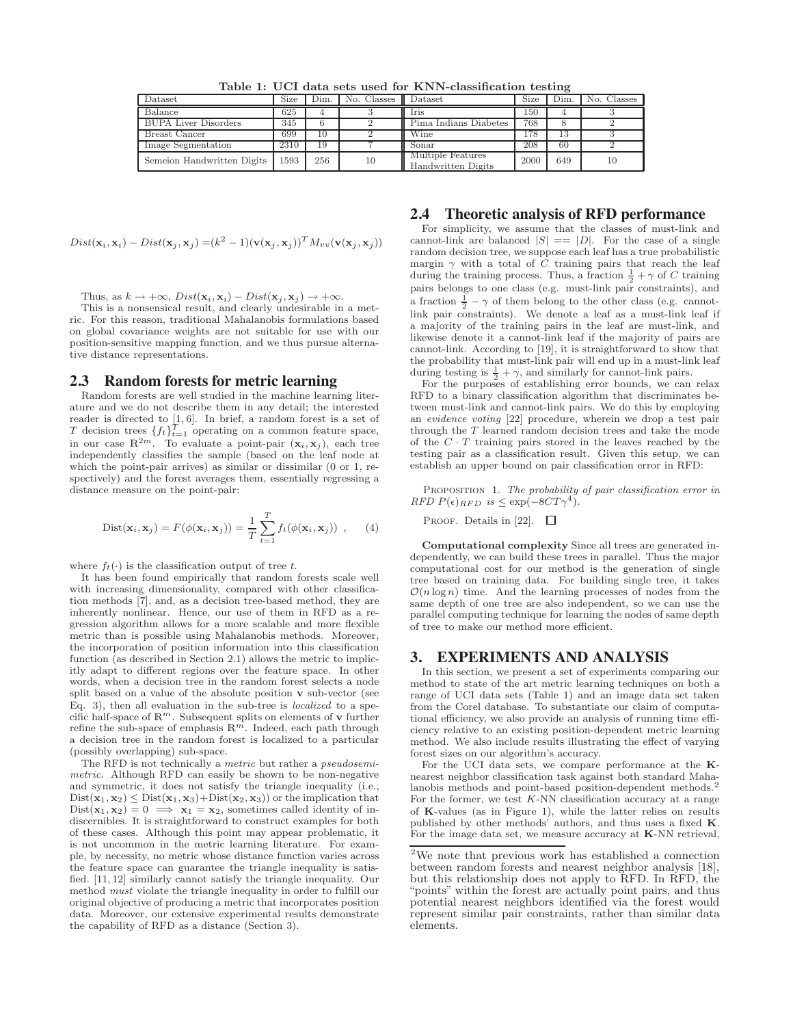**Table 1: UCI data sets used for KNN-classification testing**

| $_{\text{Dataset}}$         | Size | $\lim_{\longrightarrow}$ | No. Classes $\blacksquare$ | Dataset                                 | Size | Dim. | . Classes<br>No. |
|-----------------------------|------|--------------------------|----------------------------|-----------------------------------------|------|------|------------------|
| Balance                     | 625  |                          |                            | <b>Tris</b>                             | 150  |      |                  |
| <b>BUPA Liver Disorders</b> | 345  |                          |                            | Pima Indians Diabetes                   | 768  |      |                  |
| Breast Cancer               | 699  | 10                       |                            | Wine                                    | 178  | 13   |                  |
| Image Segmentation          | 2310 | 19                       |                            | Sonar                                   | 208  | 60   |                  |
| Semeion Handwritten Digits  | 1593 | 256                      | 10                         | Multiple Features<br>Handwritten Digits | 2000 | 649  | 10               |

$$
Dist(\mathbf{x}_i, \mathbf{x}_i) - Dist(\mathbf{x}_j, \mathbf{x}_j) = (k^2 - 1)(\mathbf{v}(\mathbf{x}_j, \mathbf{x}_j))^T M_{vv}(\mathbf{v}(\mathbf{x}_j, \mathbf{x}_j))
$$

Thus, as  $k \to +\infty$ ,  $Dist(\mathbf{x}_i, \mathbf{x}_i) - Dist(\mathbf{x}_j, \mathbf{x}_j) \to +\infty$ .

This is a nonsensical result, and clearly undesirable in a metric. For this reason, traditional Mahalanobis formulations based on global covariance weights are not suitable for use with our position-sensitive mapping function, and we thus pursue alternative distance representations.

#### **2.3 Random forests for metric learning**

Random forests are well studied in the machine learning literature and we do not describe them in any detail; the interested reader is directed to [1, 6]. In brief, a random forest is a set of  $T$  decision trees  $\{f_t\}_{t=1}^T$  operating on a common feature space, in our case  $\mathbb{R}^{2m}$ . To evaluate a point-pair  $(\mathbf{x}_i, \mathbf{x}_j)$ , each tree independently classifies the sample (based on the leaf node at which the point-pair arrives) as similar or dissimilar (0 or 1, respectively) and the forest averages them, essentially regressing a distance measure on the point-pair:

$$
Dist(\mathbf{x}_i, \mathbf{x}_j) = F(\phi(\mathbf{x}_i, \mathbf{x}_j)) = \frac{1}{T} \sum_{t=1}^T f_t(\phi(\mathbf{x}_i, \mathbf{x}_j)) , \qquad (4)
$$

where  $f_t(\cdot)$  is the classification output of tree t.

It has been found empirically that random forests scale well with increasing dimensionality, compared with other classification methods [7], and, as a decision tree-based method, they are inherently nonlinear. Hence, our use of them in RFD as a regression algorithm allows for a more scalable and more flexible metric than is possible using Mahalanobis methods. Moreover, the incorporation of position information into this classification function (as described in Section 2.1) allows the metric to implicitly adapt to different regions over the feature space. In other words, when a decision tree in the random forest selects a node split based on a value of the absolute position **v** sub-vector (see Eq. 3), then all evaluation in the sub-tree is localized to a specific half-space of  $\mathbb{R}^m$  . Subsequent splits on elements of  $\mathbf v$  further refine the sub-space of emphasis  $\mathbb{R}^m$ . Indeed, each path through a decision tree in the random forest is localized to a particular (possibly overlapping) sub-space.

The RFD is not technically a metric but rather a pseudosemimetric. Although RFD can easily be shown to be non-negative and symmetric, it does not satisfy the triangle inequality (i.e.,  $Dist(\mathbf{x}_1, \mathbf{x}_2) \leq Dist(\mathbf{x}_1, \mathbf{x}_3) + Dist(\mathbf{x}_2, \mathbf{x}_3)$  or the implication that Dist $(\mathbf{x}_1, \mathbf{x}_2)=0 \implies \mathbf{x}_1 = \mathbf{x}_2$ , sometimes called identity of indiscernibles. It is straightforward to construct examples for both of these cases. Although this point may appear problematic, it is not uncommon in the metric learning literature. For example, by necessity, no metric whose distance function varies across the feature space can guarantee the triangle inequality is satisfied. [11, 12] similarly cannot satisfy the triangle inequality. Our method must violate the triangle inequality in order to fulfill our original objective of producing a metric that incorporates position data. Moreover, our extensive experimental results demonstrate the capability of RFD as a distance (Section 3).

#### **2.4 Theoretic analysis of RFD performance**

For simplicity, we assume that the classes of must-link and cannot-link are balanced  $|S| == |D|$ . For the case of a single random decision tree, we suppose each leaf has a true probabilistic margin  $\gamma$  with a total of C training pairs that reach the leaf during the training process. Thus, a fraction  $\frac{1}{2} + \gamma$  of C training pairs belongs to one class (e.g. must-link pair constraints), and a fraction  $\frac{1}{2} - \gamma$  of them belong to the other class (e.g. cannotlink pair constraints). We denote a leaf as a must-link leaf if a majority of the training pairs in the leaf are must-link, and likewise denote it a cannot-link leaf if the majority of pairs are cannot-link. According to [19], it is straightforward to show that the probability that must-link pair will end up in a must-link leaf during testing is  $\frac{1}{2} + \gamma$ , and similarly for cannot-link pairs.

For the purposes of establishing error bounds, we can relax RFD to a binary classification algorithm that discriminates between must-link and cannot-link pairs. We do this by employing an evidence voting [22] procedure, wherein we drop a test pair through the  $T$  learned random decision trees and take the mode of the  $C \cdot T$  training pairs stored in the leaves reached by the testing pair as a classification result. Given this setup, we can establish an upper bound on pair classification error in RFD:

PROPOSITION 1. The probability of pair classification error in  $RFD P(\epsilon)_{RFD}$  is  $\leq \exp(-8CT\gamma^4)$ .

PROOF. Details in [22].  $\Box$ 

**Computational complexity** Since all trees are generated independently, we can build these trees in parallel. Thus the major computational cost for our method is the generation of single tree based on training data. For building single tree, it takes  $\mathcal{O}(n \log n)$  time. And the learning processes of nodes from the same depth of one tree are also independent, so we can use the parallel computing technique for learning the nodes of same depth of tree to make our method more efficient.

## **3. EXPERIMENTS AND ANALYSIS**

In this section, we present a set of experiments comparing our method to state of the art metric learning techniques on both a range of UCI data sets (Table 1) and an image data set taken from the Corel database. To substantiate our claim of computational efficiency, we also provide an analysis of running time efficiency relative to an existing position-dependent metric learning method. We also include results illustrating the effect of varying forest sizes on our algorithm's accuracy.

For the UCI data sets, we compare performance at the **K**nearest neighbor classification task against both standard Mahalanobis methods and point-based position-dependent methods.<sup>2</sup> For the former, we test  $K-NN$  classification accuracy at a range of **K**-values (as in Figure 1), while the latter relies on results published by other methods' authors, and thus uses a fixed **K**. For the image data set, we measure accuracy at **K**-NN retrieval,

<sup>2</sup>We note that previous work has established a connection between random forests and nearest neighbor analysis [18], but this relationship does not apply to RFD. In RFD, the "points" within the forest are actually point pairs, and thus potential nearest neighbors identified via the forest would represent similar pair constraints, rather than similar data elements.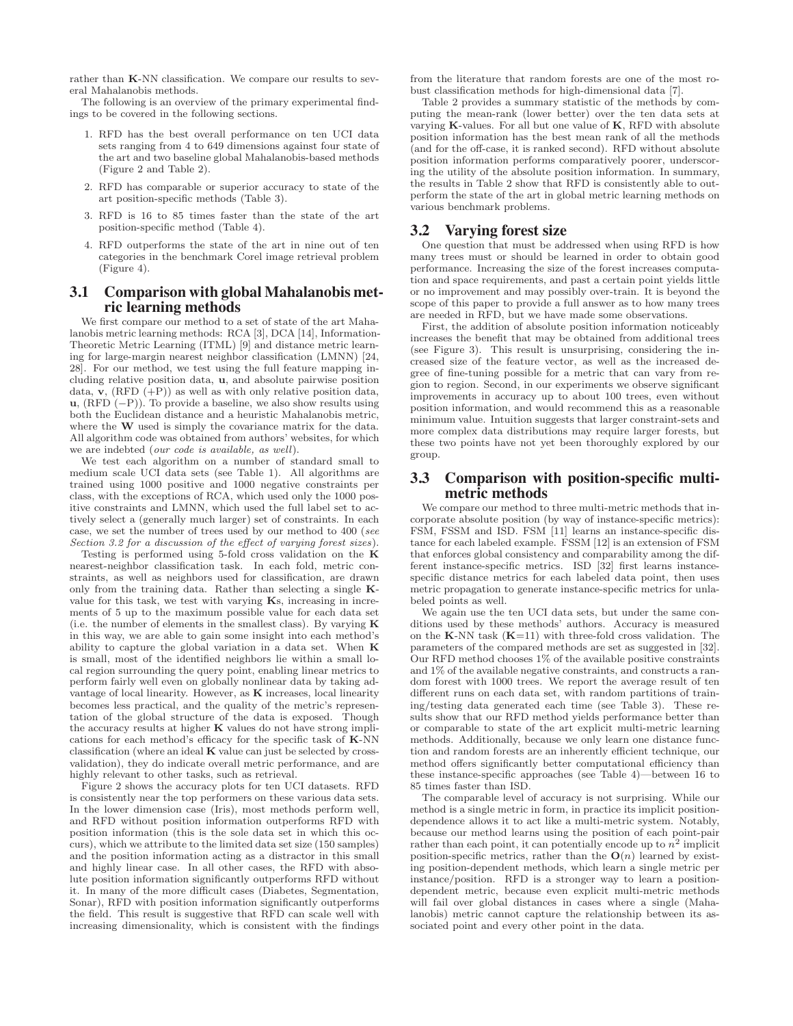rather than **K**-NN classification. We compare our results to several Mahalanobis methods.

The following is an overview of the primary experimental findings to be covered in the following sections.

- 1. RFD has the best overall performance on ten UCI data sets ranging from 4 to 649 dimensions against four state of the art and two baseline global Mahalanobis-based methods (Figure 2 and Table 2).
- 2. RFD has comparable or superior accuracy to state of the art position-specific methods (Table 3).
- 3. RFD is 16 to 85 times faster than the state of the art position-specific method (Table 4).
- 4. RFD outperforms the state of the art in nine out of ten categories in the benchmark Corel image retrieval problem (Figure 4).

# **3.1 Comparison with global Mahalanobis metric learning methods**

We first compare our method to a set of state of the art Mahalanobis metric learning methods: RCA [3], DCA [14], Information-Theoretic Metric Learning (ITML) [9] and distance metric learning for large-margin nearest neighbor classification (LMNN) [24, 28]. For our method, we test using the full feature mapping including relative position data, **u**, and absolute pairwise position data,  $\bf{v}$ , (RFD (+P)) as well as with only relative position data, **u**,  $(RFD (-P))$ . To provide a baseline, we also show results using both the Euclidean distance and a heuristic Mahalanobis metric, where the **W** used is simply the covariance matrix for the data. All algorithm code was obtained from authors' websites, for which we are indebted (our code is available, as well).

We test each algorithm on a number of standard small to medium scale UCI data sets (see Table 1). All algorithms are trained using 1000 positive and 1000 negative constraints per class, with the exceptions of RCA, which used only the 1000 positive constraints and LMNN, which used the full label set to actively select a (generally much larger) set of constraints. In each case, we set the number of trees used by our method to 400 (see Section 3.2 for a discussion of the effect of varying forest sizes).

Testing is performed using 5-fold cross validation on the **K** nearest-neighbor classification task. In each fold, metric constraints, as well as neighbors used for classification, are drawn only from the training data. Rather than selecting a single **K**value for this task, we test with varying **K**s, increasing in increments of 5 up to the maximum possible value for each data set (i.e. the number of elements in the smallest class). By varying **K** in this way, we are able to gain some insight into each method's ability to capture the global variation in a data set. When **K** is small, most of the identified neighbors lie within a small local region surrounding the query point, enabling linear metrics to perform fairly well even on globally nonlinear data by taking advantage of local linearity. However, as **K** increases, local linearity becomes less practical, and the quality of the metric's representation of the global structure of the data is exposed. Though the accuracy results at higher **K** values do not have strong implications for each method's efficacy for the specific task of **K**-NN classification (where an ideal **K** value can just be selected by crossvalidation), they do indicate overall metric performance, and are highly relevant to other tasks, such as retrieval.

Figure 2 shows the accuracy plots for ten UCI datasets. RFD is consistently near the top performers on these various data sets. In the lower dimension case (Iris), most methods perform well, and RFD without position information outperforms RFD with position information (this is the sole data set in which this occurs), which we attribute to the limited data set size (150 samples) and the position information acting as a distractor in this small and highly linear case. In all other cases, the RFD with absolute position information significantly outperforms RFD without it. In many of the more difficult cases (Diabetes, Segmentation, Sonar), RFD with position information significantly outperforms the field. This result is suggestive that RFD can scale well with increasing dimensionality, which is consistent with the findings

from the literature that random forests are one of the most robust classification methods for high-dimensional data [7].

Table 2 provides a summary statistic of the methods by computing the mean-rank (lower better) over the ten data sets at varying **K**-values. For all but one value of **K**, RFD with absolute position information has the best mean rank of all the methods (and for the off-case, it is ranked second). RFD without absolute position information performs comparatively poorer, underscoring the utility of the absolute position information. In summary, the results in Table 2 show that RFD is consistently able to outperform the state of the art in global metric learning methods on various benchmark problems.

## **3.2 Varying forest size**

One question that must be addressed when using RFD is how many trees must or should be learned in order to obtain good performance. Increasing the size of the forest increases computation and space requirements, and past a certain point yields little or no improvement and may possibly over-train. It is beyond the scope of this paper to provide a full answer as to how many trees are needed in RFD, but we have made some observations.

First, the addition of absolute position information noticeably increases the benefit that may be obtained from additional trees (see Figure 3). This result is unsurprising, considering the increased size of the feature vector, as well as the increased degree of fine-tuning possible for a metric that can vary from region to region. Second, in our experiments we observe significant improvements in accuracy up to about 100 trees, even without position information, and would recommend this as a reasonable minimum value. Intuition suggests that larger constraint-sets and more complex data distributions may require larger forests, but these two points have not yet been thoroughly explored by our group.

# **3.3 Comparison with position-specific multimetric methods**

We compare our method to three multi-metric methods that incorporate absolute position (by way of instance-specific metrics): FSM, FSSM and ISD. FSM [11] learns an instance-specific distance for each labeled example. FSSM [12] is an extension of FSM that enforces global consistency and comparability among the different instance-specific metrics. ISD [32] first learns instancespecific distance metrics for each labeled data point, then uses metric propagation to generate instance-specific metrics for unlabeled points as well.

We again use the ten UCI data sets, but under the same conditions used by these methods' authors. Accuracy is measured on the **K**-NN task (**K**=11) with three-fold cross validation. The parameters of the compared methods are set as suggested in [32]. Our RFD method chooses 1% of the available positive constraints and 1% of the available negative constraints, and constructs a random forest with 1000 trees. We report the average result of ten different runs on each data set, with random partitions of training/testing data generated each time (see Table 3). These results show that our RFD method yields performance better than or comparable to state of the art explicit multi-metric learning methods. Additionally, because we only learn one distance function and random forests are an inherently efficient technique, our method offers significantly better computational efficiency than these instance-specific approaches (see Table 4)—between 16 to 85 times faster than ISD.

The comparable level of accuracy is not surprising. While our method is a single metric in form, in practice its implicit positiondependence allows it to act like a multi-metric system. Notably, because our method learns using the position of each point-pair rather than each point, it can potentially encode up to  $n^2$  implicit position-specific metrics, rather than the  $O(n)$  learned by existing position-dependent methods, which learn a single metric per instance/position. RFD is a stronger way to learn a positiondependent metric, because even explicit multi-metric methods will fail over global distances in cases where a single (Mahalanobis) metric cannot capture the relationship between its associated point and every other point in the data.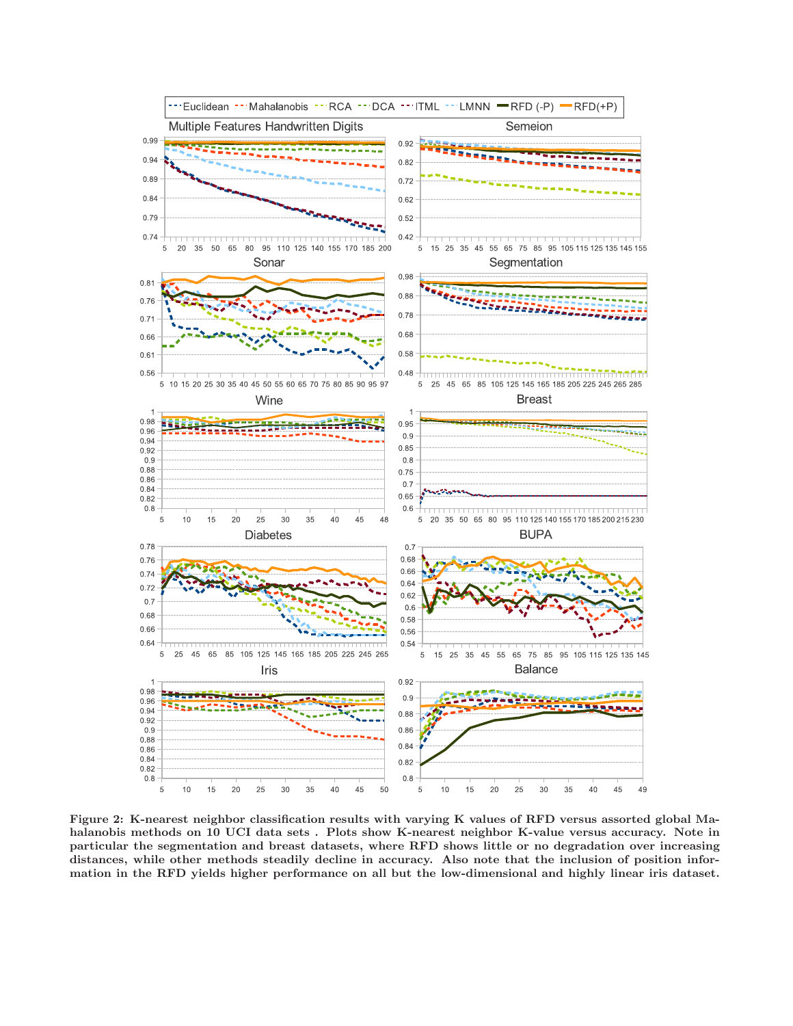

**Figure 2: K-nearest neighbor classification results with varying K values of RFD versus assorted global Mahalanobis methods on 10 UCI data sets . Plots show K-nearest neighbor K-value versus accuracy. Note in particular the segmentation and breast datasets, where RFD shows little or no degradation over increasing distances, while other methods steadily decline in accuracy. Also note that the inclusion of position information in the RFD yields higher performance on all but the low-dimensional and highly linear iris dataset.**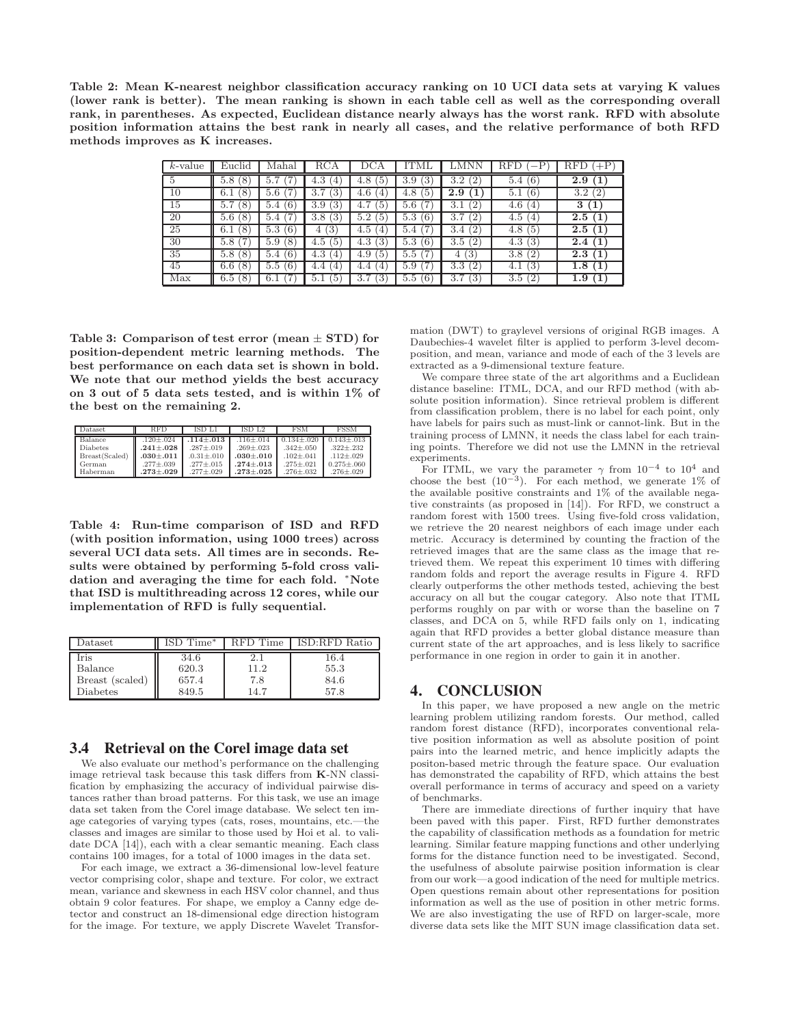**Table 2: Mean K-nearest neighbor classification accuracy ranking on 10 UCI data sets at varying K values (lower rank is better). The mean ranking is shown in each table cell as well as the corresponding overall rank, in parentheses. As expected, Euclidean distance nearly always has the worst rank. RFD with absolute position information attains the best rank in nearly all cases, and the relative performance of both RFD methods improves as K increases.**

| $k$ -value | Euclid        | Mahal         | RCA                     | 1)       | MГ                    | 'N⊥                          | RF1<br>–                     | RFD           |
|------------|---------------|---------------|-------------------------|----------|-----------------------|------------------------------|------------------------------|---------------|
| 5          | 5.8<br>8      | 5.            | 4.3<br>4                | 5<br>4.8 | 3<br>3.9              | $3.2\,$<br>$^{\prime}2$      | 5.4<br>6                     | 2.9           |
| 10         | 8<br>6.       | 5.6           | 3<br>3.7                | 4.6<br>4 | 5<br>4.8              | 2.9                          | 6<br>5.1                     | $3.2\,$<br>′2 |
| 15         | 8<br>b.       | 6<br>Ð.<br>.4 | $\left(3\right)$<br>3.9 | 5<br>4.1 | 5.6                   | $\mathbf{2}^{\prime}$<br>3.1 | 4.6<br>4                     | 3<br>Ί        |
| 20         | 5.6<br>8      | 5             | $\left(3\right)$<br>3.8 | 5<br>5.2 | 5.3<br>6              | 3.7<br>$^{\prime}2$<br>⇁     | 4.5<br>$\cdot$ 4             | $2.5\,$       |
| 25         | 8<br>6.       | 6<br>5.3      | 3                       | 4.5<br>4 | 5.4                   | 3.4<br>'2                    | 4.8<br>5                     | 2.5           |
| 30         | 5.8           | 8<br>5.9      | 5<br>4.5                | 3<br>4.3 | 6<br>5.3              | $^{'2}$<br>3.5               | 4.3<br>΄3                    | $2.4\,$       |
| 35         | 8<br>5.8      | 6<br>5.       | 4.3<br>$\pm$            | 5<br>4.9 | $\overline{ }$<br>5.5 | ΄3<br>4                      | $\mathbf{c}^{\prime}$<br>3.8 | 2.3           |
| 45         | 8<br>6.<br>.6 | 6<br>5.5      | 4.4                     | 4.<br>4  | 5.9                   | 3.3<br>$^{\prime}2$          | 3                            | $^{1.8}$      |
| Max        | 8<br>6.5      | 6.            | 5<br>5.1                | 3<br>3.1 | 5.5<br>6              | 3.7<br>΄3                    | ′2<br>3.5                    | 1.9           |

**Table 3: Comparison of test error (mean** ± **STD) for position-dependent metric learning methods. The best performance on each data set is shown in bold. We note that our method yields the best accuracy on 3 out of 5 data sets tested, and is within 1% of the best on the remaining 2.**

| Dataset         | RFD.              | ISD L1            | ISD L2            | <b>FSM</b>        | <b>FSSM</b>       |
|-----------------|-------------------|-------------------|-------------------|-------------------|-------------------|
| Balance         | $.120 + .024$     | $.114 + .013$     | $.116 + .014$     | $0.134 + 020$     | $0.143 + 0.013$   |
| <b>Diabetes</b> | $.241 {\pm} .028$ | $.287 + .019$     | $.269 \pm .023$   | $.342 + .050$     | $.322 + .232$     |
| Breast (Scaled) | $.030 {\pm} .011$ | $.0.31 \pm .010$  | $.030 {\pm} .010$ | $.102 + .041$     | $.112 + .029$     |
| German          | $.277 \pm .039$   | $.277 \pm .015$   | $.274 + .013$     | $.275 \pm .021$   | $0.275 \pm 0.060$ |
| Haberman        | $.273 {\pm} .029$ | $.277 {\pm} .029$ | $.273 {\pm} .025$ | $.276 {\pm} .032$ | $.276 \pm .029$   |

**Table 4: Run-time comparison of ISD and RFD (with position information, using 1000 trees) across several UCI data sets. All times are in seconds. Results were obtained by performing 5-fold cross validation and averaging the time for each fold.** <sup>∗</sup>**Note that ISD is multithreading across 12 cores, while our implementation of RFD is fully sequential.**

| $_{\text{dataset}}$ | $ISD$ Time* | RFD Time | ISD:RFD Ratio |
|---------------------|-------------|----------|---------------|
| Iris                | 34.6        |          | 16.4          |
| Balance             | 620.3       | 11.2     | 55.3          |
| Breast (scaled)     | 657.4       | 7.8      | 84.6          |
| Diabetes            | 849.5       | 14.7     | 57.8          |

### **3.4 Retrieval on the Corel image data set**

We also evaluate our method's performance on the challenging image retrieval task because this task differs from **K**-NN classification by emphasizing the accuracy of individual pairwise distances rather than broad patterns. For this task, we use an image data set taken from the Corel image database. We select ten image categories of varying types (cats, roses, mountains, etc.—the classes and images are similar to those used by Hoi et al. to validate DCA [14]), each with a clear semantic meaning. Each class contains 100 images, for a total of 1000 images in the data set.

For each image, we extract a 36-dimensional low-level feature vector comprising color, shape and texture. For color, we extract mean, variance and skewness in each HSV color channel, and thus obtain 9 color features. For shape, we employ a Canny edge detector and construct an 18-dimensional edge direction histogram for the image. For texture, we apply Discrete Wavelet Transfor-

mation (DWT) to graylevel versions of original RGB images. A Daubechies-4 wavelet filter is applied to perform 3-level decomposition, and mean, variance and mode of each of the 3 levels are extracted as a 9-dimensional texture feature.

We compare three state of the art algorithms and a Euclidean distance baseline: ITML, DCA, and our RFD method (with absolute position information). Since retrieval problem is different from classification problem, there is no label for each point, only have labels for pairs such as must-link or cannot-link. But in the training process of LMNN, it needs the class label for each training points. Therefore we did not use the LMNN in the retrieval experiments.

For ITML, we vary the parameter  $\gamma$  from 10<sup>-4</sup> to 10<sup>4</sup> and choose the best  $(10^{-3})$ . For each method, we generate 1% of the available positive constraints and 1% of the available negative constraints (as proposed in [14]). For RFD, we construct a random forest with 1500 trees. Using five-fold cross validation, we retrieve the 20 nearest neighbors of each image under each metric. Accuracy is determined by counting the fraction of the retrieved images that are the same class as the image that retrieved them. We repeat this experiment 10 times with differing random folds and report the average results in Figure 4. RFD clearly outperforms the other methods tested, achieving the best accuracy on all but the cougar category. Also note that ITML performs roughly on par with or worse than the baseline on 7 classes, and DCA on 5, while RFD fails only on 1, indicating again that RFD provides a better global distance measure than current state of the art approaches, and is less likely to sacrifice performance in one region in order to gain it in another.

## **4. CONCLUSION**

In this paper, we have proposed a new angle on the metric learning problem utilizing random forests. Our method, called random forest distance (RFD), incorporates conventional relative position information as well as absolute position of point pairs into the learned metric, and hence implicitly adapts the positon-based metric through the feature space. Our evaluation has demonstrated the capability of RFD, which attains the best overall performance in terms of accuracy and speed on a variety of benchmarks.

There are immediate directions of further inquiry that have been paved with this paper. First, RFD further demonstrates the capability of classification methods as a foundation for metric learning. Similar feature mapping functions and other underlying forms for the distance function need to be investigated. Second, the usefulness of absolute pairwise position information is clear from our work—a good indication of the need for multiple metrics. Open questions remain about other representations for position information as well as the use of position in other metric forms. We are also investigating the use of RFD on larger-scale, more diverse data sets like the MIT SUN image classification data set.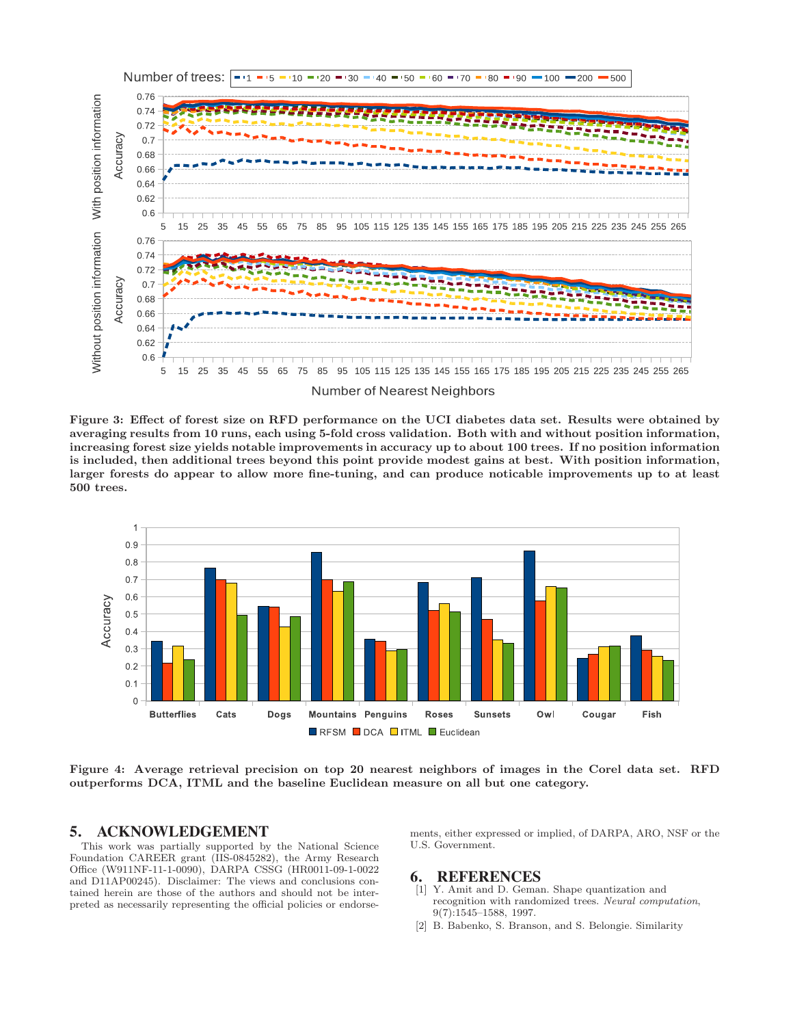

**Figure 3: Effect of forest size on RFD performance on the UCI diabetes data set. Results were obtained by averaging results from 10 runs, each using 5-fold cross validation. Both with and without position information, increasing forest size yields notable improvements in accuracy up to about 100 trees. If no position information is included, then additional trees beyond this point provide modest gains at best. With position information, larger forests do appear to allow more fine-tuning, and can produce noticable improvements up to at least**



**Figure 4: Average retrieval precision on top 20 nearest neighbors of images in the Corel data set. RFD outperforms DCA, ITML and the baseline Euclidean measure on all but one category.**

# **5. ACKNOWLEDGEMENT**

**500 trees.**

This work was partially supported by the National Science Foundation CAREER grant (IIS-0845282), the Army Research Office (W911NF-11-1-0090), DARPA CSSG (HR0011-09-1-0022 and D11AP00245). Disclaimer: The views and conclusions contained herein are those of the authors and should not be interpreted as necessarily representing the official policies or endorsements, either expressed or implied, of DARPA, ARO, NSF or the U.S. Government.

#### **6. REFERENCES**

- [1] Y. Amit and D. Geman. Shape quantization and recognition with randomized trees. Neural computation, 9(7):1545–1588, 1997.
- [2] B. Babenko, S. Branson, and S. Belongie. Similarity